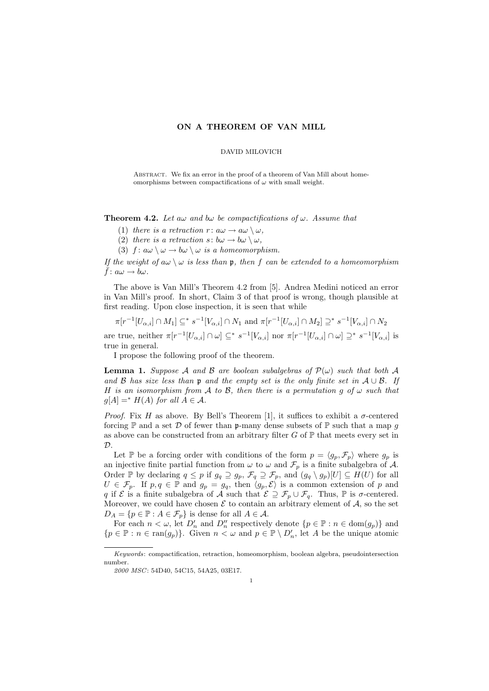## ON A THEOREM OF VAN MILL

### DAVID MILOVICH

ABSTRACT. We fix an error in the proof of a theorem of Van Mill about homeomorphisms between compactifications of  $\omega$  with small weight.

**Theorem 4.2.** Let aw and bw be compactifications of w. Assume that

(1) there is a retraction  $r: a\omega \to a\omega \setminus \omega$ .

(2) there is a retraction  $s: b\omega \to b\omega \setminus \omega$ .

(3)  $f: a\omega \setminus \omega \to b\omega \setminus \omega$  is a homeomorphism.

If the weight of  $a\omega \setminus \omega$  is less than p, then f can be extended to a homeomorphism  $\bar{f}$ :  $a\omega \rightarrow b\omega$ .

The above is Van Mill's Theorem 4.2 from [5]. Andrea Medini noticed an error in Van Mill's proof. In short, Claim 3 of that proof is wrong, though plausible at first reading. Upon close inspection, it is seen that while

$$
\pi[r^{-1}[U_{\alpha,i}]\cap M_1]\subseteq^* s^{-1}[V_{\alpha,i}]\cap N_1 \text{ and } \pi[r^{-1}[U_{\alpha,i}]\cap M_2]\supseteq^* s^{-1}[V_{\alpha,i}]\cap N_2
$$

are true, neither  $\pi[r^{-1}[U_{\alpha,i}] \cap \omega] \subseteq^* s^{-1}[V_{\alpha,i}]$  nor  $\pi[r^{-1}[U_{\alpha,i}] \cap \omega] \supseteq^* s^{-1}[V_{\alpha,i}]$  is true in general.

I propose the following proof of the theorem.

**Lemma 1.** Suppose A and B are boolean subalgebras of  $\mathcal{P}(\omega)$  such that both A and B has size less than p and the empty set is the only finite set in  $A \cup B$ . If H is an isomorphism from A to B, then there is a permutation g of  $\omega$  such that  $q[A] =^* H(A)$  for all  $A \in \mathcal{A}$ .

*Proof.* Fix H as above. By Bell's Theorem [1], it suffices to exhibit a  $\sigma$ -centered forcing  $\mathbb P$  and a set  $\mathcal D$  of fewer than p-many dense subsets of  $\mathbb P$  such that a map g as above can be constructed from an arbitrary filter  $G$  of  $\mathbb P$  that meets every set in  $\mathcal{D}$ .

Let P be a forcing order with conditions of the form  $p = \langle g_p, \mathcal{F}_p \rangle$  where  $g_p$  is an injective finite partial function from  $\omega$  to  $\omega$  and  $\mathcal{F}_p$  is a finite subalgebra of A. Order P by declaring  $q \leq p$  if  $g_q \supseteq g_p$ ,  $\mathcal{F}_q \supseteq \mathcal{F}_p$ , and  $(g_q \setminus g_p)[U] \subseteq H(U)$  for all  $U \in \mathcal{F}_p$ . If  $p, q \in \mathbb{P}$  and  $g_p = g_q$ , then  $\langle g_p, \mathcal{E} \rangle$  is a common extension of p and q if  $\mathcal E$  is a finite subalgebra of  $\mathcal A$  such that  $\mathcal E \supseteq \mathcal F_p \cup \mathcal F_q$ . Thus,  $\mathbb P$  is  $\sigma$ -centered. Moreover, we could have chosen  $\mathcal E$  to contain an arbitrary element of  $\mathcal A$ , so the set  $D_A = \{p \in \mathbb{P} : A \in \mathcal{F}_p\}$  is dense for all  $A \in \mathcal{A}$ .

For each  $n < \omega$ , let  $D'_n$  and  $D''_n$  respectively denote  $\{p \in \mathbb{P} : n \in \text{dom}(g_p)\}\$  and  ${p \in \mathbb{P} : n \in \text{ran}(g_p)}$ . Given  $n < \omega$  and  $p \in \mathbb{P} \setminus D'_n$ , let A be the unique atomic

Keywords: compactification, retraction, homeomorphism, boolean algebra, pseudointersection number.

<sup>2000</sup> MSC: 54D40, 54C15, 54A25, 03E17.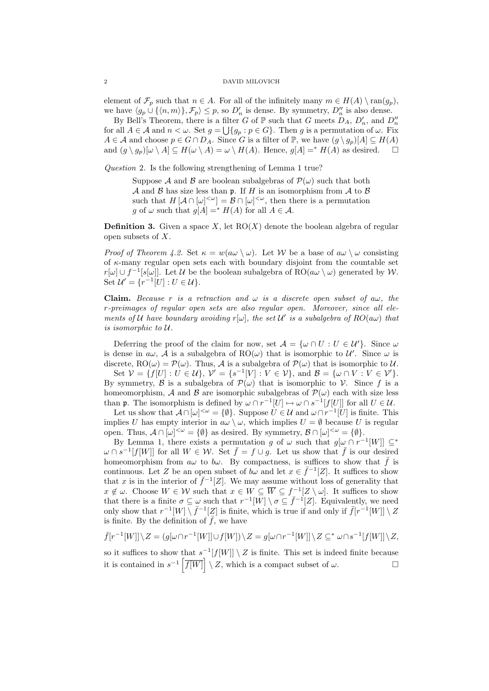## 2 DAVID MILOVICH

element of  $\mathcal{F}_p$  such that  $n \in A$ . For all of the infinitely many  $m \in H(A) \setminus \text{ran}(g_p)$ , we have  $\langle g_p \cup \{\langle n,m\rangle\}, \mathcal{F}_p \rangle \leq p$ , so  $D'_n$  is dense. By symmetry,  $D''_n$  is also dense.

By Bell's Theorem, there is a filter G of  $\mathbb P$  such that G meets  $D_A$ ,  $D'_n$ , and  $D''_n$ for all  $A \in \mathcal{A}$  and  $n < \omega$ . Set  $g = \bigcup \{g_p : p \in G\}$ . Then g is a permutation of  $\omega$ . Fix  $A \in \mathcal{A}$  and choose  $p \in G \cap D_A$ . Since G is a filter of P, we have  $(q \setminus q_p)[A] \subseteq H(A)$ and  $(g \setminus g_p)[\omega \setminus A] \subseteq H(\omega \setminus A) = \omega \setminus H(A)$ . Hence,  $g[A] =^* H(A)$  as desired.

Question 2. Is the following strengthening of Lemma 1 true?

Suppose A and B are boolean subalgebras of  $\mathcal{P}(\omega)$  such that both A and B has size less than p. If H is an isomorphism from A to B such that  $H[\mathcal{A} \cap [\omega]^{<\omega}] = \mathcal{B} \cap [\omega]^{<\omega}$ , then there is a permutation g of  $\omega$  such that  $g[A] =^* H(A)$  for all  $A \in \mathcal{A}$ .

**Definition 3.** Given a space X, let  $RO(X)$  denote the boolean algebra of regular open subsets of X.

Proof of Theorem 4.2. Set  $\kappa = w(a\omega \setminus \omega)$ . Let W be a base of  $a\omega \setminus \omega$  consisting of  $\kappa$ -many regular open sets each with boundary disjoint from the countable set  $r[\omega] \cup f^{-1}[s[\omega]]$ . Let U be the boolean subalgebra of RO( $a\omega \setminus \omega$ ) generated by W. Set  $\mathcal{U}' = \{r^{-1}[U] : U \in \mathcal{U}\}.$ 

**Claim.** Because r is a retraction and  $\omega$  is a discrete open subset of  $a\omega$ , the r-preimages of regular open sets are also regular open. Moreover, since all elements of U have boundary avoiding  $r[\omega]$ , the set U' is a subalgebra of  $RO(a\omega)$  that is isomorphic to U.

Deferring the proof of the claim for now, set  $\mathcal{A} = {\omega \cap U : U \in \mathcal{U}'}.$  Since  $\omega$ is dense in  $a\omega$ , A is a subalgebra of RO $(\omega)$  that is isomorphic to U'. Since  $\omega$  is discrete, RO( $\omega$ ) =  $\mathcal{P}(\omega)$ . Thus, A is a subalgebra of  $\mathcal{P}(\omega)$  that is isomorphic to U.

Set  $V = \{f[U]: U \in \mathcal{U}\}\$ ,  $V' = \{s^{-1}[V]: V \in \mathcal{V}\}\$ , and  $\mathcal{B} = \{\omega \cap V : V \in \mathcal{V}'\}\$ . By symmetry,  $\beta$  is a subalgebra of  $\mathcal{P}(\omega)$  that is isomorphic to  $\mathcal{V}$ . Since f is a homeomorphism, A and B are isomorphic subalgebras of  $\mathcal{P}(\omega)$  each with size less than **p**. The isomorphism is defined by  $\omega \cap r^{-1}[U] \mapsto \omega \cap s^{-1}[f[U]]$  for all  $U \in \mathcal{U}$ .

Let us show that  $\mathcal{A} \cap [\omega]^{<\omega} = \{\emptyset\}$ . Suppose  $U \in \mathcal{U}$  and  $\omega \cap r^{-1}[U]$  is finite. This implies U has empty interior in  $a\omega \setminus \omega$ , which implies  $U = \emptyset$  because U is regular open. Thus,  $\mathcal{A} \cap [\omega]^{<\omega} = \{\emptyset\}$  as desired. By symmetry,  $\mathcal{B} \cap [\omega]^{<\omega} = \{\emptyset\}.$ 

By Lemma 1, there exists a permutation g of  $\omega$  such that  $g[\omega \cap r^{-1}[W]] \subseteq^*$  $\omega \cap s^{-1}[f[W]]$  for all  $W \in \mathcal{W}$ . Set  $\bar{f} = f \cup g$ . Let us show that  $\bar{f}$  is our desired homeomorphism from  $a\omega$  to  $b\omega$ . By compactness, is suffices to show that  $\bar{f}$  is continuous. Let Z be an open subset of  $b\omega$  and let  $x \in \bar{f}^{-1}[Z]$ . It suffices to show that x is in the interior of  $\bar{f}^{-1}[Z]$ . We may assume without loss of generality that  $x \notin \omega$ . Choose  $W \in \mathcal{W}$  such that  $x \in W \subseteq \overline{W} \subseteq f^{-1}[Z \setminus \omega]$ . It suffices to show that there is a finite  $\sigma \subseteq \omega$  such that  $r^{-1}[W] \setminus \sigma \subseteq \overline{f}^{-1}[Z]$ . Equivalently, we need only show that  $r^{-1}[W] \setminus \bar{f}^{-1}[Z]$  is finite, which is true if and only if  $\bar{f}[r^{-1}[W]] \setminus Z$ is finite. By the definition of  $\bar{f}$ , we have

 $\bar{f}[r^{-1}[W]]\setminus Z=(g[\omega\cap r^{-1}[W]]\cup f[W])\setminus Z=g[\omega\cap r^{-1}[W]]\setminus Z\subseteq^*\omega\cap s^{-1}[f[W]]\setminus Z,$ so it suffices to show that  $s^{-1}[f[W]] \setminus Z$  is finite. This set is indeed finite because

it is contained in  $s^{-1} \left[ \overline{f[W]} \right] \setminus Z$ , which is a compact subset of  $\omega$ .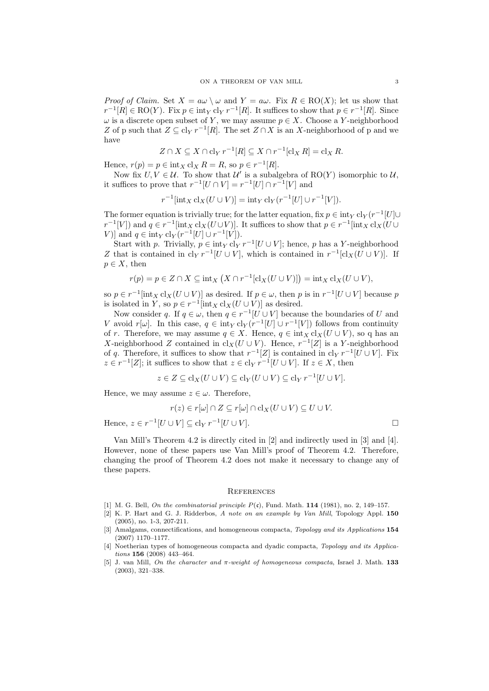*Proof of Claim.* Set  $X = a\omega \setminus \omega$  and  $Y = a\omega$ . Fix  $R \in \text{RO}(X)$ ; let us show that  $r^{-1}[R] \in \text{RO}(Y)$ . Fix  $p \in \text{int}_Y$   $\text{cl}_Y r^{-1}[R]$ . It suffices to show that  $p \in r^{-1}[R]$ . Since  $\omega$  is a discrete open subset of Y, we may assume  $p \in X$ . Choose a Y-neighborhood Z of p such that  $Z \subseteq \text{cl}_Y r^{-1}[R]$ . The set  $Z \cap X$  is an X-neighborhood of p and we have

$$
Z \cap X \subseteq X \cap \text{cl}_Y r^{-1}[R] \subseteq X \cap r^{-1}[\text{cl}_X R] = \text{cl}_X R.
$$

Hence,  $r(p) = p \in \text{int}_X \text{cl}_X R = R$ , so  $p \in r^{-1}[R]$ .

Now fix  $U, V \in \mathcal{U}$ . To show that  $\mathcal{U}'$  is a subalgebra of  $RO(Y)$  isomorphic to  $\mathcal{U}$ , it suffices to prove that  $r^{-1}[U \cap V] = r^{-1}[U] \cap r^{-1}[V]$  and

$$
r^{-1}[\mathrm{int}_X \mathrm{cl}_X(U \cup V)] = \mathrm{int}_Y \mathrm{cl}_Y(r^{-1}[U] \cup r^{-1}[V]).
$$

The former equation is trivially true; for the latter equation, fix  $p \in \text{int}_Y cl_Y(r^{-1}[U] \cup$  $r^{-1}[V]$ ) and  $q \in r^{-1}[\text{int}_X \text{cl}_X(U \cup V)]$ . It suffices to show that  $p \in r^{-1}[\text{int}_X \text{cl}_X(U \cup V)]$ V)] and  $q \in \text{int}_Y \, \text{cl}_Y(r^{-1}[U] \cup r^{-1}[V]).$ 

Start with p. Trivially,  $p \in \text{int}_Y c l_Y r^{-1}[U \cup V]$ ; hence, p has a Y-neighborhood Z that is contained in  $\text{cl}_Y r^{-1}[U \cup V]$ , which is contained in  $r^{-1}[\text{cl}_X(U \cup V)]$ . If  $p \in X$ , then

$$
r(p) = p \in Z \cap X \subseteq \text{int}_X \left( X \cap r^{-1}[\text{cl}_X(U \cup V)] \right) = \text{int}_X \text{cl}_X(U \cup V),
$$

so  $p \in r^{-1}$ [int<sub>X</sub> cl<sub>X</sub>( $U \cup V$ )] as desired. If  $p \in \omega$ , then p is in  $r^{-1}[U \cup V]$  because p is isolated in Y, so  $p \in r^{-1}$  [int<sub>X</sub> cl<sub>X</sub>( $U \cup V$ )] as desired.

Now consider q. If  $q \in \omega$ , then  $q \in r^{-1}[U \cup V]$  because the boundaries of U and V avoid  $r[\omega]$ . In this case,  $q \in \text{int}_Y cl_Y(r^{-1}[U] \cup r^{-1}[V])$  follows from continuity of r. Therefore, we may assume  $q \in X$ . Hence,  $q \in \text{int}_X cl_X(U \cup V)$ , so q has an X-neighborhood Z contained in  $\text{cl}_X(U \cup V)$ . Hence,  $r^{-1}[Z]$  is a Y-neighborhood of q. Therefore, it suffices to show that  $r^{-1}[Z]$  is contained in  $\text{cl}_Y r^{-1}[U \cup V]$ . Fix  $z \in r^{-1}[Z]$ ; it suffices to show that  $z \in \text{cl}_Y r^{-1}[U \cup V]$ . If  $z \in X$ , then

$$
z \in Z \subseteq \mathrm{cl}_X(U \cup V) \subseteq \mathrm{cl}_Y(U \cup V) \subseteq \mathrm{cl}_Y r^{-1}[U \cup V].
$$

Hence, we may assume  $z \in \omega$ . Therefore,

$$
r(z) \in r[\omega] \cap Z \subseteq r[\omega] \cap \text{cl}_X(U \cup V) \subseteq U \cup V.
$$

Hence,  $z \in r^{-1}[U \cup V] \subseteq \text{cl}_Y r^{-1}[U \cup V].$ 

Van Mill's Theorem 4.2 is directly cited in [2] and indirectly used in [3] and [4]. However, none of these papers use Van Mill's proof of Theorem 4.2. Therefore, changing the proof of Theorem 4.2 does not make it necessary to change any of these papers.

#### **REFERENCES**

- [1] M. G. Bell, On the combinatorial principle  $P(\mathfrak{c})$ , Fund. Math. 114 (1981), no. 2, 149-157.
- [2] K. P. Hart and G. J. Ridderbos, A note on an example by Van Mill, Topology Appl. 150 (2005), no. 1-3, 207-211.
- [3] Amalgams, connectifications, and homogeneous compacta, Topology and its Applications 154 (2007) 1170–1177.
- [4] Noetherian types of homogeneous compacta and dyadic compacta, Topology and its Applications 156 (2008) 443–464.
- [5] J. van Mill, On the character and  $\pi$ -weight of homogeneous compacta, Israel J. Math. 133 (2003), 321–338.